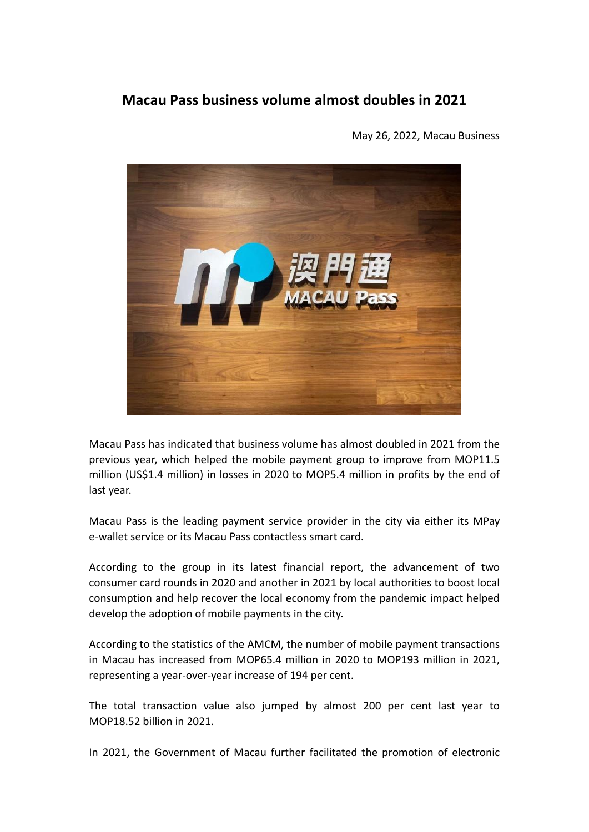## **Macau Pass business volume almost doubles in 2021**

May 26, 2022, Macau Business



Macau Pass has indicated that business volume has almost doubled in 2021 from the previous year, which helped the mobile payment group to improve from MOP11.5 million (US\$1.4 million) in losses in 2020 to MOP5.4 million in profits by the end of last year.

Macau Pass is the leading payment service provider in the city via either its MPay e-wallet service or its Macau Pass contactless smart card.

According to the group in its latest financial report, the advancement of two consumer card rounds in 2020 and another in 2021 by local authorities to boost local consumption and help recover the local economy from the pandemic impact helped develop the adoption of mobile payments in the city.

According to the statistics of the AMCM, the number of mobile payment transactions in Macau has increased from MOP65.4 million in 2020 to MOP193 million in 2021, representing a year-over-year increase of 194 per cent.

The total transaction value also jumped by almost 200 per cent last year to MOP18.52 billion in 2021.

In 2021, the Government of Macau further facilitated the promotion of electronic